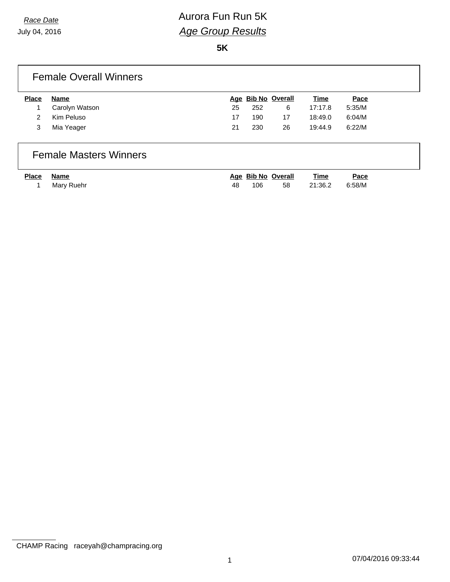**5K**

| <b>Place</b> | Name           |    | Age Bib No Overall |    | Time    | Pace   |
|--------------|----------------|----|--------------------|----|---------|--------|
|              | Carolyn Watson | 25 | 252                | 6  | 17:17.8 | 5:35/M |
| 2            | Kim Peluso     | 17 | 190                | 17 | 18:49.0 | 6:04/M |
| 3            | Mia Yeager     | 21 | 230                | 26 | 19:44.9 | 6:22/M |

| Place Name |              |     |     | Age Bib No Overall | Time       | Pace   |
|------------|--------------|-----|-----|--------------------|------------|--------|
|            | 1 Mary Ruehr | 48. | 106 | 58                 | 21:36.2 ບ. | 6:58/M |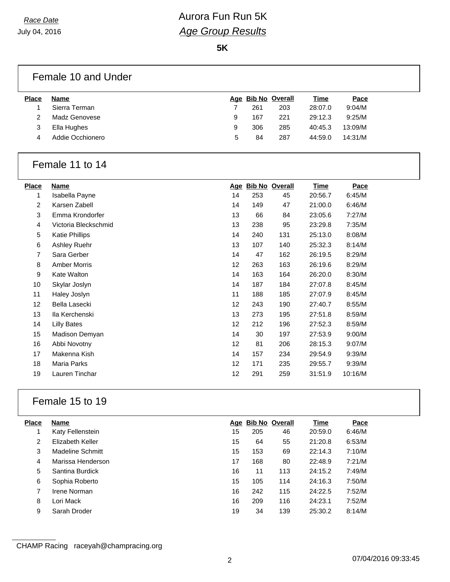**5K**

## Female 10 and Under

| <b>Place</b>  | Name             |   |     | Age Bib No Overall | <u>Time</u> | Pace    |
|---------------|------------------|---|-----|--------------------|-------------|---------|
|               | Sierra Terman    |   | 261 | 203                | 28:07.0     | 9:04/M  |
| $\mathcal{P}$ | Madz Genovese    | 9 | 167 | 221                | 29:12.3     | 9:25/M  |
| 3             | Ella Hughes      | 9 | 306 | 285                | 40:45.3     | 13:09/M |
| 4             | Addie Occhionero | 5 | 84  | 287                | 44:59.0     | 14:31/M |

### Female 11 to 14

| Place | <b>Name</b>           | <u>Age</u>        |     | <b>Bib No Overall</b> | <u>Time</u> | Pace    |
|-------|-----------------------|-------------------|-----|-----------------------|-------------|---------|
| 1     | Isabella Payne        | 14                | 253 | 45                    | 20:56.7     | 6:45/M  |
| 2     | Karsen Zabell         | 14                | 149 | 47                    | 21:00.0     | 6:46/M  |
| 3     | Emma Krondorfer       | 13                | 66  | 84                    | 23:05.6     | 7:27/M  |
| 4     | Victoria Bleckschmid  | 13                | 238 | 95                    | 23:29.8     | 7:35/M  |
| 5     | <b>Katie Phillips</b> | 14                | 240 | 131                   | 25:13.0     | 8:08/M  |
| 6     | Ashley Ruehr          | 13                | 107 | 140                   | 25:32.3     | 8:14/M  |
| 7     | Sara Gerber           | 14                | 47  | 162                   | 26:19.5     | 8:29/M  |
| 8     | <b>Amber Morris</b>   | 12                | 263 | 163                   | 26:19.6     | 8:29/M  |
| 9     | Kate Walton           | 14                | 163 | 164                   | 26:20.0     | 8:30/M  |
| 10    | Skylar Joslyn         | 14                | 187 | 184                   | 27:07.8     | 8:45/M  |
| 11    | Haley Joslyn          | 11                | 188 | 185                   | 27:07.9     | 8:45/M  |
| 12    | Bella Lasecki         | 12                | 243 | 190                   | 27:40.7     | 8:55/M  |
| 13    | Ila Kerchenski        | 13                | 273 | 195                   | 27:51.8     | 8:59/M  |
| 14    | <b>Lilly Bates</b>    | $12 \overline{ }$ | 212 | 196                   | 27:52.3     | 8:59/M  |
| 15    | Madison Demyan        | 14                | 30  | 197                   | 27:53.9     | 9:00/M  |
| 16    | Abbi Novotny          | 12                | 81  | 206                   | 28:15.3     | 9:07/M  |
| 17    | Makenna Kish          | 14                | 157 | 234                   | 29:54.9     | 9:39/M  |
| 18    | Maria Parks           | 12                | 171 | 235                   | 29:55.7     | 9:39/M  |
| 19    | Lauren Tinchar        | 12                | 291 | 259                   | 31:51.9     | 10:16/M |

## Female 15 to 19

| <b>Place</b> | <b>Name</b>       | Age | <b>Bib No Overall</b> |     | Time    | Pace   |
|--------------|-------------------|-----|-----------------------|-----|---------|--------|
|              | Katy Fellenstein  | 15  | 205                   | 46  | 20:59.0 | 6:46/M |
| 2            | Elizabeth Keller  | 15  | 64                    | 55  | 21:20.8 | 6:53/M |
| 3            | Madeline Schmitt  | 15  | 153                   | 69  | 22:14.3 | 7:10/M |
| 4            | Marissa Henderson | 17  | 168                   | 80  | 22:48.9 | 7:21/M |
| 5            | Santina Burdick   | 16  | 11                    | 113 | 24:15.2 | 7:49/M |
| 6            | Sophia Roberto    | 15  | 105                   | 114 | 24:16.3 | 7:50/M |
| 7            | Irene Norman      | 16  | 242                   | 115 | 24:22.5 | 7:52/M |
| 8            | Lori Mack         | 16  | 209                   | 116 | 24:23.1 | 7:52/M |
| 9            | Sarah Droder      | 19  | 34                    | 139 | 25:30.2 | 8:14/M |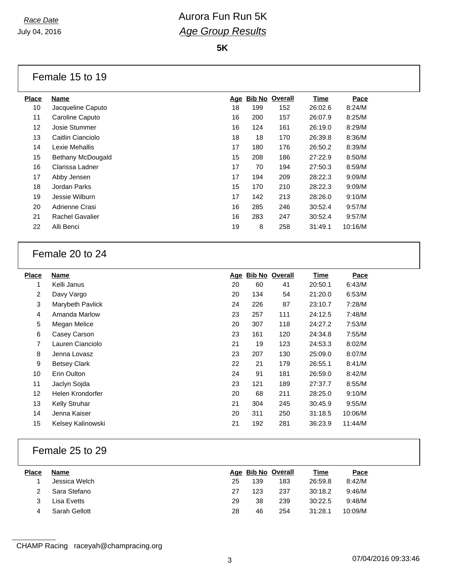**5K**

#### Female 15 to 19

| <b>Place</b> | <b>Name</b>            | Age | <b>Bib No Overall</b> |     | <b>Time</b> | Pace    |
|--------------|------------------------|-----|-----------------------|-----|-------------|---------|
| 10           | Jacqueline Caputo      | 18  | 199                   | 152 | 26:02.6     | 8:24/M  |
| 11           | Caroline Caputo        | 16  | 200                   | 157 | 26:07.9     | 8:25/M  |
| 12           | Josie Stummer          | 16  | 124                   | 161 | 26:19.0     | 8:29/M  |
| 13           | Caitlin Cianciolo      | 18  | 18                    | 170 | 26:39.8     | 8:36/M  |
| 14           | Lexie Mehallis         | 17  | 180                   | 176 | 26:50.2     | 8:39/M  |
| 15           | Bethany McDougald      | 15  | 208                   | 186 | 27:22.9     | 8:50/M  |
| 16           | Clarissa Ladner        | 17  | 70                    | 194 | 27:50.3     | 8:59/M  |
| 17           | Abby Jensen            | 17  | 194                   | 209 | 28:22.3     | 9:09/M  |
| 18           | Jordan Parks           | 15  | 170                   | 210 | 28:22.3     | 9:09/M  |
| 19           | Jessie Wilburn         | 17  | 142                   | 213 | 28:26.0     | 9:10/M  |
| 20           | Adrienne Crasi         | 16  | 285                   | 246 | 30:52.4     | 9:57/M  |
| 21           | <b>Rachel Gavalier</b> | 16  | 283                   | 247 | 30:52.4     | 9:57/M  |
| 22           | Alli Benci             | 19  | 8                     | 258 | 31:49.1     | 10:16/M |
|              |                        |     |                       |     |             |         |

## Female 20 to 24

| <b>Place</b> | <b>Name</b>          | <u>Age</u> |     | <b>Bib No Overall</b> | <b>Time</b> | Pace    |
|--------------|----------------------|------------|-----|-----------------------|-------------|---------|
| 1            | Kelli Janus          | 20         | 60  | 41                    | 20:50.1     | 6:43/M  |
| 2            | Davy Vargo           | 20         | 134 | 54                    | 21:20.0     | 6:53/M  |
| 3            | Marybeth Pavlick     | 24         | 226 | 87                    | 23:10.7     | 7:28/M  |
| 4            | Amanda Marlow        | 23         | 257 | 111                   | 24:12.5     | 7:48/M  |
| 5            | Megan Melice         | 20         | 307 | 118                   | 24:27.2     | 7:53/M  |
| 6            | Casey Carson         | 23         | 161 | 120                   | 24:34.8     | 7:55/M  |
| 7            | Lauren Cianciolo     | 21         | 19  | 123                   | 24:53.3     | 8:02/M  |
| 8            | Jenna Lovasz         | 23         | 207 | 130                   | 25:09.0     | 8:07/M  |
| 9            | <b>Betsey Clark</b>  | 22         | 21  | 179                   | 26:55.1     | 8:41/M  |
| 10           | Erin Oulton          | 24         | 91  | 181                   | 26:59.0     | 8:42/M  |
| 11           | Jaclyn Sojda         | 23         | 121 | 189                   | 27:37.7     | 8:55/M  |
| 12           | Helen Krondorfer     | 20         | 68  | 211                   | 28:25.0     | 9:10/M  |
| 13           | <b>Kelly Struhar</b> | 21         | 304 | 245                   | 30:45.9     | 9:55/M  |
| 14           | Jenna Kaiser         | 20         | 311 | 250                   | 31:18.5     | 10:06/M |
| 15           | Kelsey Kalinowski    | 21         | 192 | 281                   | 36:23.9     | 11:44/M |

### Female 25 to 29

| <b>Place</b> | Name          |    |     | Age Bib No Overall | <u>Time</u> | Pace    |
|--------------|---------------|----|-----|--------------------|-------------|---------|
|              | Jessica Welch | 25 | 139 | 183                | 26:59.8     | 8:42/M  |
|              | Sara Stefano  | 27 | 123 | 237                | 30:18.2     | 9:46/M  |
|              | Lisa Evetts   | 29 | 38  | 239                | 30:22.5     | 9:48/M  |
|              | Sarah Gellott | 28 | 46  | 254                | 31:28.1     | 10:09/M |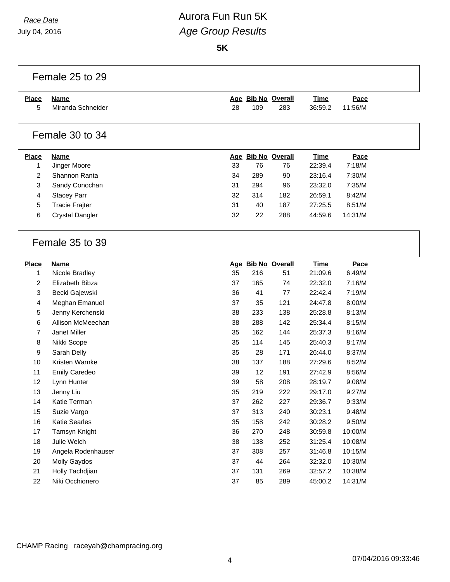July 04, 2016

# *Race Date* **Aurora Fun Run 5K** *Age Group Results*

**5K**

| Age Bib No Overall<br><b>Place</b><br><b>Name</b><br><b>Time</b><br>Pace<br>Miranda Schneider<br>109<br>283<br>5<br>28<br>36:59.2<br>11:56/M<br>Female 30 to 34<br>Age Bib No Overall<br>Pace<br><b>Place</b><br><b>Name</b><br>Time<br>Jinger Moore<br>33<br>76<br>22:39.4<br>7:18/M<br>1<br>76<br>2<br>Shannon Ranta<br>34<br>289<br>7:30/M<br>90<br>23:16.4<br>$\mathbf{3}$<br>Sandy Conochan<br>294<br>96<br>23:32.0<br>7:35/M<br>31<br>4<br><b>Stacey Parr</b><br>32<br>314<br>182<br>26:59.1<br>8:42/M<br>$\sqrt{5}$<br>31<br>187<br><b>Tracie Frajter</b><br>40<br>27:25.5<br>8:51/M<br>6<br><b>Crystal Dangler</b><br>32<br>22<br>288<br>14:31/M<br>44:59.6<br>Female 35 to 39<br>Age Bib No Overall<br><b>Place</b><br><b>Name</b><br><b>Time</b><br>Pace<br>1<br>Nicole Bradley<br>35<br>216<br>6:49/M<br>51<br>21:09.6<br>$\overline{2}$<br>Elizabeth Bibza<br>37<br>165<br>74<br>22:32.0<br>7:16/M<br>7:19/M<br>3<br>36<br>41<br>77<br>22:42.4<br>Becki Gajewski<br>Meghan Emanuel<br>37<br>35<br>121<br>24:47.8<br>8:00/M<br>4<br>5<br>Jenny Kerchenski<br>38<br>233<br>138<br>8:13/M<br>25:28.8<br>6<br>Allison McMeechan<br>38<br>288<br>142<br>25:34.4<br>8:15/M<br>$\overline{7}$<br>Janet Miller<br>35<br>162<br>144<br>8:16/M<br>25:37.3<br>8<br>Nikki Scope<br>35<br>114<br>145<br>25:40.3<br>8:17/M<br>9<br>Sarah Delly<br>35<br>28<br>171<br>8:37/M<br>26:44.0<br>10<br>Kristen Warnke<br>38<br>137<br>188<br>27:29.6<br>8:52/M<br>11<br>39<br>12<br>191<br>27:42.9<br>8:56/M<br><b>Emily Caredeo</b><br>12<br>39<br>58<br>208<br>9:08/M<br>Lynn Hunter<br>28:19.7<br>13<br>Jenny Liu<br>35<br>219<br>222<br>9:27/M<br>29:17.0<br>14<br>Katie Terman<br>37<br>262<br>227<br>29:36.7<br>9:33/M<br>313<br>240<br>15<br>Suzie Vargo<br>37<br>30:23.1<br>9:48/M<br>Katie Searles<br>35<br>242<br>16<br>158<br>30:28.2<br>9:50/M<br>248<br>17<br>Tamsyn Knight<br>36<br>270<br>30:59.8<br>10:00/M<br>18<br>Julie Welch<br>38<br>138<br>252<br>31:25.4<br>10:08/M<br>308<br>257<br>19<br>Angela Rodenhauser<br>37<br>10:15/M<br>31:46.8<br>264<br>20<br>Molly Gaydos<br>37<br>44<br>10:30/M<br>32:32.0<br>269<br>21<br>Holly Tachdjian<br>37<br>131<br>32:57.2<br>10:38/M |    | Female 25 to 29 |    |    |     |         |         |  |  |
|-------------------------------------------------------------------------------------------------------------------------------------------------------------------------------------------------------------------------------------------------------------------------------------------------------------------------------------------------------------------------------------------------------------------------------------------------------------------------------------------------------------------------------------------------------------------------------------------------------------------------------------------------------------------------------------------------------------------------------------------------------------------------------------------------------------------------------------------------------------------------------------------------------------------------------------------------------------------------------------------------------------------------------------------------------------------------------------------------------------------------------------------------------------------------------------------------------------------------------------------------------------------------------------------------------------------------------------------------------------------------------------------------------------------------------------------------------------------------------------------------------------------------------------------------------------------------------------------------------------------------------------------------------------------------------------------------------------------------------------------------------------------------------------------------------------------------------------------------------------------------------------------------------------------------------------------------------------------------------------------------------------------------------------------------------------------------------------------------------------------------------------------------------------------------------------------|----|-----------------|----|----|-----|---------|---------|--|--|
|                                                                                                                                                                                                                                                                                                                                                                                                                                                                                                                                                                                                                                                                                                                                                                                                                                                                                                                                                                                                                                                                                                                                                                                                                                                                                                                                                                                                                                                                                                                                                                                                                                                                                                                                                                                                                                                                                                                                                                                                                                                                                                                                                                                           |    |                 |    |    |     |         |         |  |  |
|                                                                                                                                                                                                                                                                                                                                                                                                                                                                                                                                                                                                                                                                                                                                                                                                                                                                                                                                                                                                                                                                                                                                                                                                                                                                                                                                                                                                                                                                                                                                                                                                                                                                                                                                                                                                                                                                                                                                                                                                                                                                                                                                                                                           |    |                 |    |    |     |         |         |  |  |
|                                                                                                                                                                                                                                                                                                                                                                                                                                                                                                                                                                                                                                                                                                                                                                                                                                                                                                                                                                                                                                                                                                                                                                                                                                                                                                                                                                                                                                                                                                                                                                                                                                                                                                                                                                                                                                                                                                                                                                                                                                                                                                                                                                                           |    |                 |    |    |     |         |         |  |  |
|                                                                                                                                                                                                                                                                                                                                                                                                                                                                                                                                                                                                                                                                                                                                                                                                                                                                                                                                                                                                                                                                                                                                                                                                                                                                                                                                                                                                                                                                                                                                                                                                                                                                                                                                                                                                                                                                                                                                                                                                                                                                                                                                                                                           |    |                 |    |    |     |         |         |  |  |
|                                                                                                                                                                                                                                                                                                                                                                                                                                                                                                                                                                                                                                                                                                                                                                                                                                                                                                                                                                                                                                                                                                                                                                                                                                                                                                                                                                                                                                                                                                                                                                                                                                                                                                                                                                                                                                                                                                                                                                                                                                                                                                                                                                                           |    |                 |    |    |     |         |         |  |  |
|                                                                                                                                                                                                                                                                                                                                                                                                                                                                                                                                                                                                                                                                                                                                                                                                                                                                                                                                                                                                                                                                                                                                                                                                                                                                                                                                                                                                                                                                                                                                                                                                                                                                                                                                                                                                                                                                                                                                                                                                                                                                                                                                                                                           |    |                 |    |    |     |         |         |  |  |
|                                                                                                                                                                                                                                                                                                                                                                                                                                                                                                                                                                                                                                                                                                                                                                                                                                                                                                                                                                                                                                                                                                                                                                                                                                                                                                                                                                                                                                                                                                                                                                                                                                                                                                                                                                                                                                                                                                                                                                                                                                                                                                                                                                                           |    |                 |    |    |     |         |         |  |  |
|                                                                                                                                                                                                                                                                                                                                                                                                                                                                                                                                                                                                                                                                                                                                                                                                                                                                                                                                                                                                                                                                                                                                                                                                                                                                                                                                                                                                                                                                                                                                                                                                                                                                                                                                                                                                                                                                                                                                                                                                                                                                                                                                                                                           |    |                 |    |    |     |         |         |  |  |
|                                                                                                                                                                                                                                                                                                                                                                                                                                                                                                                                                                                                                                                                                                                                                                                                                                                                                                                                                                                                                                                                                                                                                                                                                                                                                                                                                                                                                                                                                                                                                                                                                                                                                                                                                                                                                                                                                                                                                                                                                                                                                                                                                                                           |    |                 |    |    |     |         |         |  |  |
|                                                                                                                                                                                                                                                                                                                                                                                                                                                                                                                                                                                                                                                                                                                                                                                                                                                                                                                                                                                                                                                                                                                                                                                                                                                                                                                                                                                                                                                                                                                                                                                                                                                                                                                                                                                                                                                                                                                                                                                                                                                                                                                                                                                           |    |                 |    |    |     |         |         |  |  |
|                                                                                                                                                                                                                                                                                                                                                                                                                                                                                                                                                                                                                                                                                                                                                                                                                                                                                                                                                                                                                                                                                                                                                                                                                                                                                                                                                                                                                                                                                                                                                                                                                                                                                                                                                                                                                                                                                                                                                                                                                                                                                                                                                                                           |    |                 |    |    |     |         |         |  |  |
|                                                                                                                                                                                                                                                                                                                                                                                                                                                                                                                                                                                                                                                                                                                                                                                                                                                                                                                                                                                                                                                                                                                                                                                                                                                                                                                                                                                                                                                                                                                                                                                                                                                                                                                                                                                                                                                                                                                                                                                                                                                                                                                                                                                           |    |                 |    |    |     |         |         |  |  |
|                                                                                                                                                                                                                                                                                                                                                                                                                                                                                                                                                                                                                                                                                                                                                                                                                                                                                                                                                                                                                                                                                                                                                                                                                                                                                                                                                                                                                                                                                                                                                                                                                                                                                                                                                                                                                                                                                                                                                                                                                                                                                                                                                                                           |    |                 |    |    |     |         |         |  |  |
|                                                                                                                                                                                                                                                                                                                                                                                                                                                                                                                                                                                                                                                                                                                                                                                                                                                                                                                                                                                                                                                                                                                                                                                                                                                                                                                                                                                                                                                                                                                                                                                                                                                                                                                                                                                                                                                                                                                                                                                                                                                                                                                                                                                           |    |                 |    |    |     |         |         |  |  |
|                                                                                                                                                                                                                                                                                                                                                                                                                                                                                                                                                                                                                                                                                                                                                                                                                                                                                                                                                                                                                                                                                                                                                                                                                                                                                                                                                                                                                                                                                                                                                                                                                                                                                                                                                                                                                                                                                                                                                                                                                                                                                                                                                                                           |    |                 |    |    |     |         |         |  |  |
|                                                                                                                                                                                                                                                                                                                                                                                                                                                                                                                                                                                                                                                                                                                                                                                                                                                                                                                                                                                                                                                                                                                                                                                                                                                                                                                                                                                                                                                                                                                                                                                                                                                                                                                                                                                                                                                                                                                                                                                                                                                                                                                                                                                           |    |                 |    |    |     |         |         |  |  |
|                                                                                                                                                                                                                                                                                                                                                                                                                                                                                                                                                                                                                                                                                                                                                                                                                                                                                                                                                                                                                                                                                                                                                                                                                                                                                                                                                                                                                                                                                                                                                                                                                                                                                                                                                                                                                                                                                                                                                                                                                                                                                                                                                                                           |    |                 |    |    |     |         |         |  |  |
|                                                                                                                                                                                                                                                                                                                                                                                                                                                                                                                                                                                                                                                                                                                                                                                                                                                                                                                                                                                                                                                                                                                                                                                                                                                                                                                                                                                                                                                                                                                                                                                                                                                                                                                                                                                                                                                                                                                                                                                                                                                                                                                                                                                           |    |                 |    |    |     |         |         |  |  |
|                                                                                                                                                                                                                                                                                                                                                                                                                                                                                                                                                                                                                                                                                                                                                                                                                                                                                                                                                                                                                                                                                                                                                                                                                                                                                                                                                                                                                                                                                                                                                                                                                                                                                                                                                                                                                                                                                                                                                                                                                                                                                                                                                                                           |    |                 |    |    |     |         |         |  |  |
|                                                                                                                                                                                                                                                                                                                                                                                                                                                                                                                                                                                                                                                                                                                                                                                                                                                                                                                                                                                                                                                                                                                                                                                                                                                                                                                                                                                                                                                                                                                                                                                                                                                                                                                                                                                                                                                                                                                                                                                                                                                                                                                                                                                           |    |                 |    |    |     |         |         |  |  |
|                                                                                                                                                                                                                                                                                                                                                                                                                                                                                                                                                                                                                                                                                                                                                                                                                                                                                                                                                                                                                                                                                                                                                                                                                                                                                                                                                                                                                                                                                                                                                                                                                                                                                                                                                                                                                                                                                                                                                                                                                                                                                                                                                                                           |    |                 |    |    |     |         |         |  |  |
|                                                                                                                                                                                                                                                                                                                                                                                                                                                                                                                                                                                                                                                                                                                                                                                                                                                                                                                                                                                                                                                                                                                                                                                                                                                                                                                                                                                                                                                                                                                                                                                                                                                                                                                                                                                                                                                                                                                                                                                                                                                                                                                                                                                           |    |                 |    |    |     |         |         |  |  |
|                                                                                                                                                                                                                                                                                                                                                                                                                                                                                                                                                                                                                                                                                                                                                                                                                                                                                                                                                                                                                                                                                                                                                                                                                                                                                                                                                                                                                                                                                                                                                                                                                                                                                                                                                                                                                                                                                                                                                                                                                                                                                                                                                                                           |    |                 |    |    |     |         |         |  |  |
|                                                                                                                                                                                                                                                                                                                                                                                                                                                                                                                                                                                                                                                                                                                                                                                                                                                                                                                                                                                                                                                                                                                                                                                                                                                                                                                                                                                                                                                                                                                                                                                                                                                                                                                                                                                                                                                                                                                                                                                                                                                                                                                                                                                           |    |                 |    |    |     |         |         |  |  |
|                                                                                                                                                                                                                                                                                                                                                                                                                                                                                                                                                                                                                                                                                                                                                                                                                                                                                                                                                                                                                                                                                                                                                                                                                                                                                                                                                                                                                                                                                                                                                                                                                                                                                                                                                                                                                                                                                                                                                                                                                                                                                                                                                                                           |    |                 |    |    |     |         |         |  |  |
|                                                                                                                                                                                                                                                                                                                                                                                                                                                                                                                                                                                                                                                                                                                                                                                                                                                                                                                                                                                                                                                                                                                                                                                                                                                                                                                                                                                                                                                                                                                                                                                                                                                                                                                                                                                                                                                                                                                                                                                                                                                                                                                                                                                           |    |                 |    |    |     |         |         |  |  |
|                                                                                                                                                                                                                                                                                                                                                                                                                                                                                                                                                                                                                                                                                                                                                                                                                                                                                                                                                                                                                                                                                                                                                                                                                                                                                                                                                                                                                                                                                                                                                                                                                                                                                                                                                                                                                                                                                                                                                                                                                                                                                                                                                                                           |    |                 |    |    |     |         |         |  |  |
|                                                                                                                                                                                                                                                                                                                                                                                                                                                                                                                                                                                                                                                                                                                                                                                                                                                                                                                                                                                                                                                                                                                                                                                                                                                                                                                                                                                                                                                                                                                                                                                                                                                                                                                                                                                                                                                                                                                                                                                                                                                                                                                                                                                           |    |                 |    |    |     |         |         |  |  |
|                                                                                                                                                                                                                                                                                                                                                                                                                                                                                                                                                                                                                                                                                                                                                                                                                                                                                                                                                                                                                                                                                                                                                                                                                                                                                                                                                                                                                                                                                                                                                                                                                                                                                                                                                                                                                                                                                                                                                                                                                                                                                                                                                                                           |    |                 |    |    |     |         |         |  |  |
|                                                                                                                                                                                                                                                                                                                                                                                                                                                                                                                                                                                                                                                                                                                                                                                                                                                                                                                                                                                                                                                                                                                                                                                                                                                                                                                                                                                                                                                                                                                                                                                                                                                                                                                                                                                                                                                                                                                                                                                                                                                                                                                                                                                           |    |                 |    |    |     |         |         |  |  |
|                                                                                                                                                                                                                                                                                                                                                                                                                                                                                                                                                                                                                                                                                                                                                                                                                                                                                                                                                                                                                                                                                                                                                                                                                                                                                                                                                                                                                                                                                                                                                                                                                                                                                                                                                                                                                                                                                                                                                                                                                                                                                                                                                                                           |    |                 |    |    |     |         |         |  |  |
|                                                                                                                                                                                                                                                                                                                                                                                                                                                                                                                                                                                                                                                                                                                                                                                                                                                                                                                                                                                                                                                                                                                                                                                                                                                                                                                                                                                                                                                                                                                                                                                                                                                                                                                                                                                                                                                                                                                                                                                                                                                                                                                                                                                           |    |                 |    |    |     |         |         |  |  |
|                                                                                                                                                                                                                                                                                                                                                                                                                                                                                                                                                                                                                                                                                                                                                                                                                                                                                                                                                                                                                                                                                                                                                                                                                                                                                                                                                                                                                                                                                                                                                                                                                                                                                                                                                                                                                                                                                                                                                                                                                                                                                                                                                                                           |    |                 |    |    |     |         |         |  |  |
|                                                                                                                                                                                                                                                                                                                                                                                                                                                                                                                                                                                                                                                                                                                                                                                                                                                                                                                                                                                                                                                                                                                                                                                                                                                                                                                                                                                                                                                                                                                                                                                                                                                                                                                                                                                                                                                                                                                                                                                                                                                                                                                                                                                           |    |                 |    |    |     |         |         |  |  |
|                                                                                                                                                                                                                                                                                                                                                                                                                                                                                                                                                                                                                                                                                                                                                                                                                                                                                                                                                                                                                                                                                                                                                                                                                                                                                                                                                                                                                                                                                                                                                                                                                                                                                                                                                                                                                                                                                                                                                                                                                                                                                                                                                                                           |    |                 |    |    |     |         |         |  |  |
|                                                                                                                                                                                                                                                                                                                                                                                                                                                                                                                                                                                                                                                                                                                                                                                                                                                                                                                                                                                                                                                                                                                                                                                                                                                                                                                                                                                                                                                                                                                                                                                                                                                                                                                                                                                                                                                                                                                                                                                                                                                                                                                                                                                           | 22 | Niki Occhionero | 37 | 85 | 289 | 45:00.2 | 14:31/M |  |  |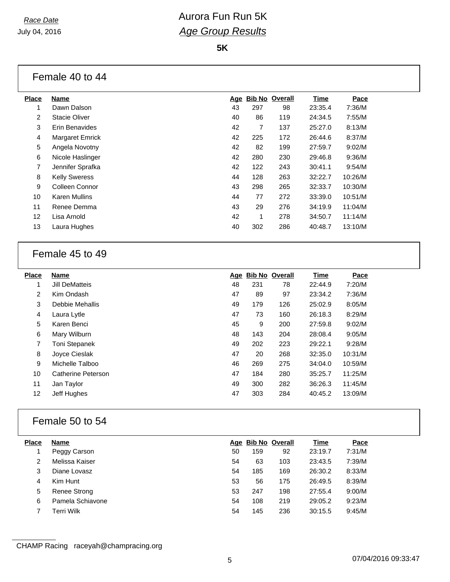**5K**

## Female 40 to 44

| <b>Place</b>   | Name                 |            | <b>Bib No Overall</b> |     | Time    | Pace    |
|----------------|----------------------|------------|-----------------------|-----|---------|---------|
|                |                      | <u>Age</u> |                       |     |         |         |
| 1              | Dawn Dalson          | 43         | 297                   | 98  | 23:35.4 | 7:36/M  |
| 2              | Stacie Oliver        | 40         | 86                    | 119 | 24:34.5 | 7:55/M  |
| 3              | Erin Benavides       | 42         | 7                     | 137 | 25:27.0 | 8:13/M  |
| 4              | Margaret Emrick      | 42         | 225                   | 172 | 26:44.6 | 8:37/M  |
| 5              | Angela Novotny       | 42         | 82                    | 199 | 27:59.7 | 9:02/M  |
| 6              | Nicole Haslinger     | 42         | 280                   | 230 | 29:46.8 | 9:36/M  |
| $\overline{7}$ | Jennifer Sprafka     | 42         | 122                   | 243 | 30:41.1 | 9:54/M  |
| 8              | <b>Kelly Sweress</b> | 44         | 128                   | 263 | 32:22.7 | 10:26/M |
| 9              | Colleen Connor       | 43         | 298                   | 265 | 32:33.7 | 10:30/M |
| 10             | Karen Mullins        | 44         | 77                    | 272 | 33:39.0 | 10:51/M |
| 11             | Renee Demma          | 43         | 29                    | 276 | 34:19.9 | 11:04/M |
| 12             | Lisa Arnold          | 42         | 1                     | 278 | 34:50.7 | 11:14/M |
| 13             | Laura Hughes         | 40         | 302                   | 286 | 40:48.7 | 13:10/M |
|                |                      |            |                       |     |         |         |

### Female 45 to 49

| <b>Place</b>      | <b>Name</b>          |    | Age Bib No Overall |     | Time    | Pace    |
|-------------------|----------------------|----|--------------------|-----|---------|---------|
| 1                 | Jill DeMatteis       | 48 | 231                | 78  | 22:44.9 | 7:20/M  |
| $\overline{2}$    | Kim Ondash           | 47 | 89                 | 97  | 23:34.2 | 7:36/M  |
| 3                 | Debbie Mehallis      | 49 | 179                | 126 | 25:02.9 | 8:05/M  |
| 4                 | Laura Lytle          | 47 | 73                 | 160 | 26:18.3 | 8:29/M  |
| 5                 | Karen Benci          | 45 | 9                  | 200 | 27:59.8 | 9:02/M  |
| 6                 | Mary Wilburn         | 48 | 143                | 204 | 28:08.4 | 9:05/M  |
| $\overline{7}$    | <b>Toni Stepanek</b> | 49 | 202                | 223 | 29:22.1 | 9:28/M  |
| 8                 | Joyce Cieslak        | 47 | 20                 | 268 | 32:35.0 | 10:31/M |
| 9                 | Michelle Talboo      | 46 | 269                | 275 | 34:04.0 | 10:59/M |
| 10                | Catherine Peterson   | 47 | 184                | 280 | 35:25.7 | 11:25/M |
| 11                | Jan Taylor           | 49 | 300                | 282 | 36:26.3 | 11:45/M |
| $12 \overline{ }$ | Jeff Hughes          | 47 | 303                | 284 | 40:45.2 | 13:09/M |
|                   |                      |    |                    |     |         |         |

## Female 50 to 54

| <b>Place</b> | <b>Name</b>      |    | Age Bib No Overall |     | <b>Time</b> | Pace   |
|--------------|------------------|----|--------------------|-----|-------------|--------|
|              | Peggy Carson     | 50 | 159                | 92  | 23:19.7     | 7:31/M |
| 2            | Melissa Kaiser   | 54 | 63                 | 103 | 23:43.5     | 7:39/M |
| 3            | Diane Lovasz     | 54 | 185                | 169 | 26:30.2     | 8:33/M |
|              | Kim Hunt         | 53 | 56                 | 175 | 26:49.5     | 8:39/M |
| 5            | Renee Strong     | 53 | 247                | 198 | 27:55.4     | 9:00/M |
| 6            | Pamela Schiavone | 54 | 108                | 219 | 29:05.2     | 9:23/M |
|              | Terri Wilk       | 54 | 145                | 236 | 30:15.5     | 9:45/M |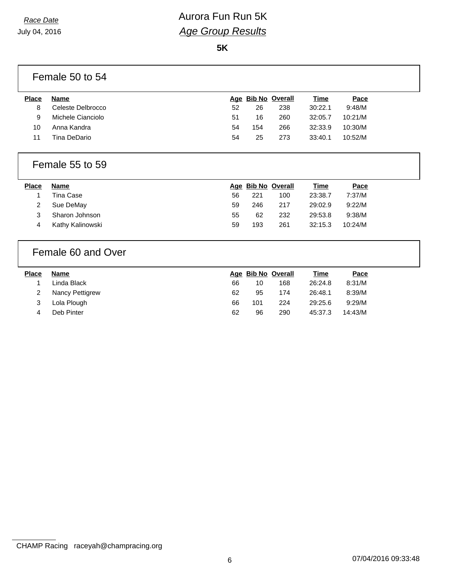July 04, 2016

## *Race Date* **Aurora Fun Run 5K** *Age Group Results*

**5K**

|              | Female 50 to 54    |    |     |                    |             |         |  |
|--------------|--------------------|----|-----|--------------------|-------------|---------|--|
| <b>Place</b> | <b>Name</b>        |    |     | Age Bib No Overall | <b>Time</b> | Pace    |  |
| 8            | Celeste Delbrocco  | 52 | 26  | 238                | 30:22.1     | 9:48/M  |  |
| 9            | Michele Cianciolo  | 51 | 16  | 260                | 32:05.7     | 10:21/M |  |
| 10           | Anna Kandra        | 54 | 154 | 266                | 32:33.9     | 10:30/M |  |
| 11           | Tina DeDario       | 54 | 25  | 273                | 33:40.1     | 10:52/M |  |
|              | Female 55 to 59    |    |     |                    |             |         |  |
|              |                    |    |     |                    |             |         |  |
| <b>Place</b> | <b>Name</b>        |    |     | Age Bib No Overall | Time        | Pace    |  |
| 1            | <b>Tina Case</b>   | 56 | 221 | 100                | 23:38.7     | 7:37/M  |  |
| 2            | Sue DeMay          | 59 | 246 | 217                | 29:02.9     | 9:22/M  |  |
| 3            | Sharon Johnson     | 55 | 62  | 232                | 29:53.8     | 9:38/M  |  |
| 4            | Kathy Kalinowski   | 59 | 193 | 261                | 32:15.3     | 10:24/M |  |
|              | Female 60 and Over |    |     |                    |             |         |  |
| <b>Place</b> | <b>Name</b>        |    |     | Age Bib No Overall | <b>Time</b> | Pace    |  |
| 1            | Linda Black        | 66 | 10  | 168                | 26:24.8     | 8:31/M  |  |

| ∠ ιναιι∪γι <del>σ</del> ιιιγισw |  | ואו/פט.ט ו.ס <del>ו:</del> ∠ט. <del>ו</del> ו כפ ∠ט |  |
|---------------------------------|--|-----------------------------------------------------|--|
| 3 Lola Plough                   |  | 66 101 224 29:25.6 9:29/M                           |  |

4 Deb Pinter 62 96 290 45:37.3 14:43/M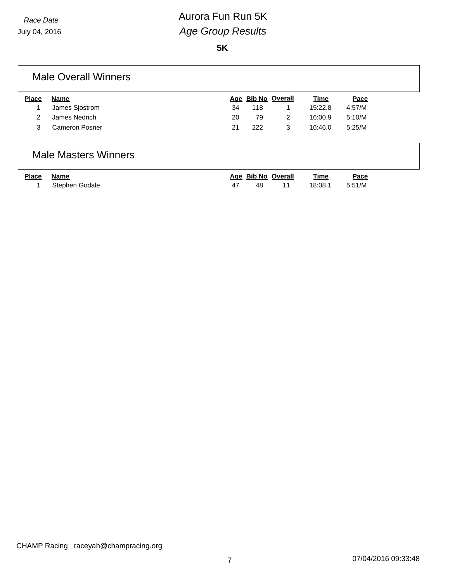**5K**

### Male Overall Winners

| <b>Place</b>  | Name                  |    | Age Bib No Overall |   | <u>Time</u> | Pace   |
|---------------|-----------------------|----|--------------------|---|-------------|--------|
|               | James Siostrom        | 34 | 118                |   | 15:22.8     | 4:57/M |
| $\mathcal{P}$ | James Nedrich         | 20 | 79                 |   | 16:00.9     | 5:10/M |
|               | <b>Cameron Posner</b> | 21 | 222                | 3 | 16:46.0     | 5:25/M |

### Male Masters Winners

| Place Name |                  | Age Bib No Overall |       | Time           | Pace |
|------------|------------------|--------------------|-------|----------------|------|
|            | 1 Stephen Godale | - 48               | $-11$ | 18:08.1 5:51/M |      |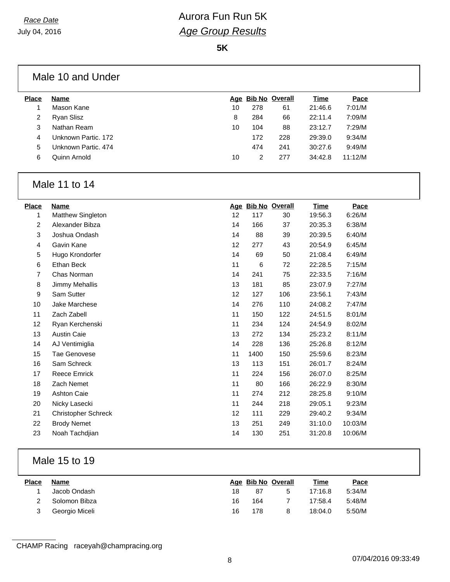**5K**

| Male 10 and Under |  |  |
|-------------------|--|--|
|-------------------|--|--|

| <b>Place</b> | Name                |    | Age Bib No Overall |     | Time    | Pace    |  |
|--------------|---------------------|----|--------------------|-----|---------|---------|--|
|              | Mason Kane          | 10 | 278                | 61  | 21:46.6 | 7:01/M  |  |
| 2            | <b>Ryan Slisz</b>   | 8  | 284                | 66  | 22:11.4 | 7:09/M  |  |
| 3            | Nathan Ream         | 10 | 104                | 88  | 23:12.7 | 7:29/M  |  |
| 4            | Unknown Partic, 172 |    | 172                | 228 | 29:39.0 | 9:34/M  |  |
| 5.           | Unknown Partic, 474 |    | 474                | 241 | 30:27.6 | 9:49/M  |  |
| 6            | Quinn Arnold        | 10 |                    | 277 | 34:42.8 | 11:12/M |  |
|              |                     |    |                    |     |         |         |  |

## Male 11 to 14

| <b>Place</b> | <b>Name</b>                |    |      | Age Bib No Overall | <b>Time</b> | Pace    |
|--------------|----------------------------|----|------|--------------------|-------------|---------|
| 1            | Matthew Singleton          | 12 | 117  | 30                 | 19:56.3     | 6:26/M  |
| 2            | Alexander Bibza            | 14 | 166  | 37                 | 20:35.3     | 6:38/M  |
| 3            | Joshua Ondash              | 14 | 88   | 39                 | 20:39.5     | 6:40/M  |
| 4            | Gavin Kane                 | 12 | 277  | 43                 | 20:54.9     | 6:45/M  |
| 5            | Hugo Krondorfer            | 14 | 69   | 50                 | 21:08.4     | 6:49/M  |
| 6            | Ethan Beck                 | 11 | 6    | 72                 | 22:28.5     | 7:15/M  |
| 7            | Chas Norman                | 14 | 241  | 75                 | 22:33.5     | 7:16/M  |
| 8            | Jimmy Mehallis             | 13 | 181  | 85                 | 23:07.9     | 7:27/M  |
| 9            | Sam Sutter                 | 12 | 127  | 106                | 23:56.1     | 7:43/M  |
| 10           | Jake Marchese              | 14 | 276  | 110                | 24:08.2     | 7:47/M  |
| 11           | Zach Zabell                | 11 | 150  | 122                | 24:51.5     | 8:01/M  |
| 12           | Ryan Kerchenski            | 11 | 234  | 124                | 24:54.9     | 8:02/M  |
| 13           | <b>Austin Caie</b>         | 13 | 272  | 134                | 25:23.2     | 8:11/M  |
| 14           | AJ Ventimiglia             | 14 | 228  | 136                | 25:26.8     | 8:12/M  |
| 15           | Tae Genovese               | 11 | 1400 | 150                | 25:59.6     | 8:23/M  |
| 16           | Sam Schreck                | 13 | 113  | 151                | 26:01.7     | 8:24/M  |
| 17           | <b>Reece Emrick</b>        | 11 | 224  | 156                | 26:07.0     | 8:25/M  |
| 18           | Zach Nemet                 | 11 | 80   | 166                | 26:22.9     | 8:30/M  |
| 19           | Ashton Caie                | 11 | 274  | 212                | 28:25.8     | 9:10/M  |
| 20           | Nicky Lasecki              | 11 | 244  | 218                | 29:05.1     | 9:23/M  |
| 21           | <b>Christopher Schreck</b> | 12 | 111  | 229                | 29:40.2     | 9:34/M  |
| 22           | <b>Brody Nemet</b>         | 13 | 251  | 249                | 31:10.0     | 10:03/M |
| 23           | Noah Tachdjian             | 14 | 130  | 251                | 31:20.8     | 10:06/M |

## Male 15 to 19

| <b>Place</b> | Name           |    | Age Bib No Overall |    | <b>Time</b> | Pace   |  |
|--------------|----------------|----|--------------------|----|-------------|--------|--|
|              | Jacob Ondash   | 18 | 87                 | b. | 17:16.8     | 5:34/M |  |
|              | Solomon Bibza  | 16 | 164                |    | 17:58.4     | 5:48/M |  |
|              | Georgio Miceli | 16 | 178                |    | 18:04.0     | 5:50/M |  |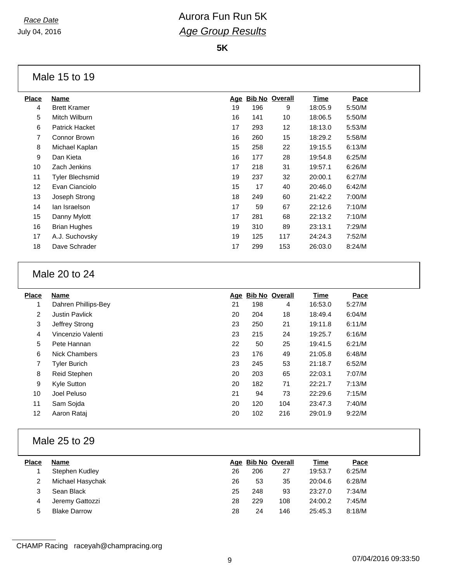**5K**

#### Male 15 to 19

| <b>Place</b> | Name                | Age |     | <b>Bib No Overall</b> | <b>Time</b> | Pace   |
|--------------|---------------------|-----|-----|-----------------------|-------------|--------|
| 4            | <b>Brett Kramer</b> | 19  | 196 | 9                     | 18:05.9     | 5:50/M |
| 5            | Mitch Wilburn       | 16  | 141 | 10                    | 18:06.5     | 5:50/M |
| 6            | Patrick Hacket      | 17  | 293 | 12                    | 18:13.0     | 5:53/M |
| 7            | Connor Brown        | 16  | 260 | 15                    | 18:29.2     | 5:58/M |
| 8            | Michael Kaplan      | 15  | 258 | 22                    | 19:15.5     | 6:13/M |
| 9            | Dan Kieta           | 16  | 177 | 28                    | 19:54.8     | 6:25/M |
| 10           | Zach Jenkins        | 17  | 218 | 31                    | 19:57.1     | 6:26/M |
| 11           | Tyler Blechsmid     | 19  | 237 | 32                    | 20:00.1     | 6:27/M |
| 12           | Evan Cianciolo      | 15  | 17  | 40                    | 20:46.0     | 6:42/M |
| 13           | Joseph Strong       | 18  | 249 | 60                    | 21:42.2     | 7:00/M |
| 14           | lan Israelson       | 17  | 59  | 67                    | 22:12.6     | 7:10/M |
| 15           | Danny Mylott        | 17  | 281 | 68                    | 22:13.2     | 7:10/M |
| 16           | <b>Brian Hughes</b> | 19  | 310 | 89                    | 23:13.1     | 7:29/M |
| 17           | A.J. Suchovsky      | 19  | 125 | 117                   | 24:24.3     | 7:52/M |
| 18           | Dave Schrader       | 17  | 299 | 153                   | 26:03.0     | 8:24/M |
|              |                     |     |     |                       |             |        |

### Male 20 to 24

| <b>Place</b>   | <b>Name</b>           |    |     | Age Bib No Overall | <b>Time</b> | Pace   |  |
|----------------|-----------------------|----|-----|--------------------|-------------|--------|--|
| 1              | Dahren Phillips-Bey   | 21 | 198 | 4                  | 16:53.0     | 5:27/M |  |
| $\overline{2}$ | <b>Justin Pavlick</b> | 20 | 204 | 18                 | 18:49.4     | 6:04/M |  |
| 3              | Jeffrey Strong        | 23 | 250 | 21                 | 19:11.8     | 6:11/M |  |
| 4              | Vincenzio Valenti     | 23 | 215 | 24                 | 19:25.7     | 6:16/M |  |
| 5              | Pete Hannan           | 22 | 50  | 25                 | 19:41.5     | 6:21/M |  |
| 6              | <b>Nick Chambers</b>  | 23 | 176 | 49                 | 21:05.8     | 6:48/M |  |
| 7              | <b>Tyler Burich</b>   | 23 | 245 | 53                 | 21:18.7     | 6:52/M |  |
| 8              | Reid Stephen          | 20 | 203 | 65                 | 22:03.1     | 7:07/M |  |
| 9              | Kyle Sutton           | 20 | 182 | 71                 | 22:21.7     | 7:13/M |  |
| 10             | Joel Peluso           | 21 | 94  | 73                 | 22:29.6     | 7:15/M |  |
| 11             | Sam Sojda             | 20 | 120 | 104                | 23:47.3     | 7:40/M |  |
| 12             | Aaron Rataj           | 20 | 102 | 216                | 29:01.9     | 9:22/M |  |
|                |                       |    |     |                    |             |        |  |

#### Male 25 to 29

| <b>Place</b> | Name                |    | Age Bib No Overall |     | Time    | Pace   |
|--------------|---------------------|----|--------------------|-----|---------|--------|
|              | Stephen Kudley      | 26 | 206                | 27  | 19:53.7 | 6:25/M |
|              | Michael Hasychak    | 26 | 53                 | 35  | 20:04.6 | 6:28/M |
| 3            | Sean Black          | 25 | 248                | 93  | 23:27.0 | 7:34/M |
| 4            | Jeremy Gattozzi     | 28 | 229                | 108 | 24:00.2 | 7:45/M |
| 5            | <b>Blake Darrow</b> | 28 | 24                 | 146 | 25:45.3 | 8:18/M |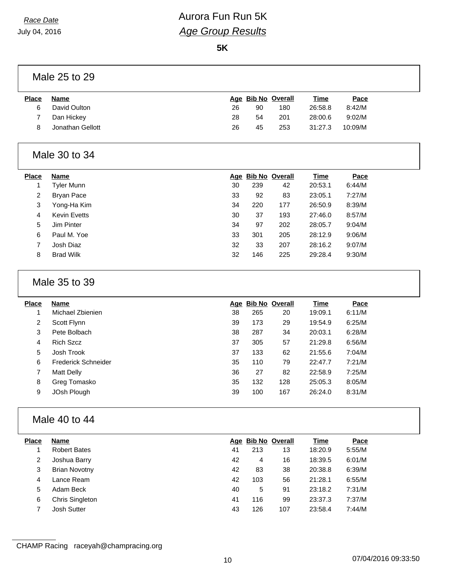July 04, 2016

## *Race Date* **Aurora Fun Run 5K** *Age Group Results*

**5K**

#### Male 25 to 29

| <b>Place</b> | Name             |    | Age Bib No Overall |     | <u>Time</u> | Pace    |
|--------------|------------------|----|--------------------|-----|-------------|---------|
| 6            | David Oulton     | 26 | 90                 | 180 | 26:58.8     | 8:42/M  |
|              | Dan Hickey       | 28 | 54                 | 201 | 28:00.6     | 9:02/M  |
|              | Jonathan Gellott | 26 | 45                 | 253 | 31:27.3     | 10:09/M |
|              |                  |    |                    |     |             |         |

### Male 30 to 34

| <b>Place</b>   | Name                |    |     | Age Bib No Overall | <b>Time</b> | Pace   |
|----------------|---------------------|----|-----|--------------------|-------------|--------|
|                | Tyler Munn          | 30 | 239 | 42                 | 20:53.1     | 6:44/M |
| $\overline{2}$ | Bryan Pace          | 33 | 92  | 83                 | 23:05.1     | 7:27/M |
| 3              | Yong-Ha Kim         | 34 | 220 | 177                | 26:50.9     | 8:39/M |
| 4              | <b>Kevin Evetts</b> | 30 | 37  | 193                | 27:46.0     | 8:57/M |
| 5              | Jim Pinter          | 34 | 97  | 202                | 28:05.7     | 9:04/M |
| 6              | Paul M. Yoe         | 33 | 301 | 205                | 28:12.9     | 9:06/M |
|                | Josh Diaz           | 32 | 33  | 207                | 28:16.2     | 9:07/M |
| 8              | <b>Brad Wilk</b>    | 32 | 146 | 225                | 29:28.4     | 9:30/M |

#### Male 35 to 39

| Place | <b>Name</b>         |    | Age Bib No Overall |     | <b>Time</b> | Pace   |
|-------|---------------------|----|--------------------|-----|-------------|--------|
|       | Michael Zbienien    | 38 | 265                | 20  | 19:09.1     | 6:11/M |
| 2     | Scott Flynn         | 39 | 173                | 29  | 19:54.9     | 6:25/M |
| 3     | Pete Bolbach        | 38 | 287                | 34  | 20:03.1     | 6:28/M |
| 4     | <b>Rich Szcz</b>    | 37 | 305                | 57  | 21:29.8     | 6:56/M |
| 5     | Josh Trook          | 37 | 133                | 62  | 21:55.6     | 7:04/M |
| 6     | Frederick Schneider | 35 | 110                | 79  | 22:47.7     | 7:21/M |
| 7     | Matt Delly          | 36 | 27                 | 82  | 22:58.9     | 7:25/M |
| 8     | Greg Tomasko        | 35 | 132                | 128 | 25:05.3     | 8:05/M |
| 9     | JOsh Plough         | 39 | 100                | 167 | 26:24.0     | 8:31/M |
|       |                     |    |                    |     |             |        |

## Male 40 to 44

| <b>Place</b> | Name                   |    | Age Bib No Overall |     | <b>Time</b> | Pace   |
|--------------|------------------------|----|--------------------|-----|-------------|--------|
|              | <b>Robert Bates</b>    | 41 | 213                | 13  | 18:20.9     | 5:55/M |
| 2            | Joshua Barry           | 42 | 4                  | 16  | 18:39.5     | 6:01/M |
| 3            | <b>Brian Novotny</b>   | 42 | 83                 | 38  | 20:38.8     | 6:39/M |
| 4            | Lance Ream             | 42 | 103                | 56  | 21:28.1     | 6:55/M |
| 5            | Adam Beck              | 40 | 5                  | 91  | 23:18.2     | 7:31/M |
| 6            | <b>Chris Singleton</b> | 41 | 116                | 99  | 23:37.3     | 7:37/M |
|              | Josh Sutter            | 43 | 126                | 107 | 23:58.4     | 7:44/M |
|              |                        |    |                    |     |             |        |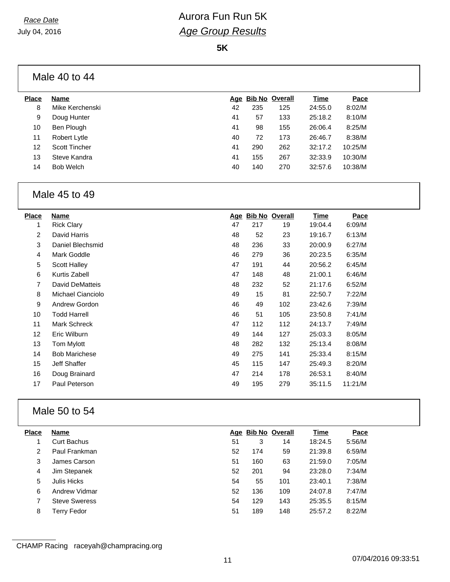**5K**

|              | Male 40 to 44   |    |                    |     |         |         |
|--------------|-----------------|----|--------------------|-----|---------|---------|
| <b>Place</b> | Name            |    | Age Bib No Overall |     | Time    | Pace    |
| 8            | Mike Kerchenski | 42 | 235                | 125 | 24:55.0 | 8:02/M  |
| 9            | Doug Hunter     | 41 | 57                 | 133 | 25:18.2 | 8:10/M  |
| 10           | Ben Plough      | 41 | 98                 | 155 | 26:06.4 | 8:25/M  |
| 11           | Robert Lytle    | 40 | 72                 | 173 | 26:46.7 | 8:38/M  |
| 12           | Scott Tincher   | 41 | 290                | 262 | 32:17.2 | 10:25/M |
| 13           | Steve Kandra    | 41 | 155                | 267 | 32:33.9 | 10:30/M |

### Bob Welch 40 140 270 32:57.6 10:38/M

#### Male 45 to 49

| Place          | <b>Name</b>          | <u>Age</u> |     | <b>Bib No Overall</b> | Time    | Pace    |
|----------------|----------------------|------------|-----|-----------------------|---------|---------|
| 1              | <b>Rick Clary</b>    | 47         | 217 | 19                    | 19:04.4 | 6:09/M  |
| $\overline{2}$ | David Harris         | 48         | 52  | 23                    | 19:16.7 | 6:13/M  |
| 3              | Daniel Blechsmid     | 48         | 236 | 33                    | 20:00.9 | 6:27/M  |
| 4              | Mark Goddle          | 46         | 279 | 36                    | 20:23.5 | 6:35/M  |
| 5              | Scott Halley         | 47         | 191 | 44                    | 20:56.2 | 6:45/M  |
| 6              | Kurtis Zabell        | 47         | 148 | 48                    | 21:00.1 | 6:46/M  |
| 7              | David DeMatteis      | 48         | 232 | 52                    | 21:17.6 | 6:52/M  |
| 8              | Michael Cianciolo    | 49         | 15  | 81                    | 22:50.7 | 7:22/M  |
| 9              | <b>Andrew Gordon</b> | 46         | 49  | 102                   | 23:42.6 | 7:39/M  |
| 10             | <b>Todd Harrell</b>  | 46         | 51  | 105                   | 23:50.8 | 7:41/M  |
| 11             | Mark Schreck         | 47         | 112 | 112                   | 24:13.7 | 7:49/M  |
| 12             | Eric Wilburn         | 49         | 144 | 127                   | 25:03.3 | 8:05/M  |
| 13             | Tom Mylott           | 48         | 282 | 132                   | 25:13.4 | 8:08/M  |
| 14             | <b>Bob Marichese</b> | 49         | 275 | 141                   | 25:33.4 | 8:15/M  |
| 15             | <b>Jeff Shaffer</b>  | 45         | 115 | 147                   | 25:49.3 | 8:20/M  |
| 16             | Doug Brainard        | 47         | 214 | 178                   | 26:53.1 | 8:40/M  |
| 17             | Paul Peterson        | 49         | 195 | 279                   | 35:11.5 | 11:21/M |

## Male 50 to 54

| <b>Place</b> | <b>Name</b>          |    | Age Bib No Overall |     | <b>Time</b> | Pace   |
|--------------|----------------------|----|--------------------|-----|-------------|--------|
|              | Curt Bachus          | 51 | 3                  | 14  | 18:24.5     | 5:56/M |
| 2            | Paul Frankman        | 52 | 174                | 59  | 21:39.8     | 6:59/M |
| 3            | James Carson         | 51 | 160                | 63  | 21:59.0     | 7:05/M |
| 4            | Jim Stepanek         | 52 | 201                | 94  | 23:28.0     | 7:34/M |
| 5            | Julis Hicks          | 54 | 55                 | 101 | 23:40.1     | 7:38/M |
| 6            | Andrew Vidmar        | 52 | 136                | 109 | 24:07.8     | 7:47/M |
|              | <b>Steve Sweress</b> | 54 | 129                | 143 | 25:35.5     | 8:15/M |
| 8            | Terry Fedor          | 51 | 189                | 148 | 25:57.2     | 8:22/M |